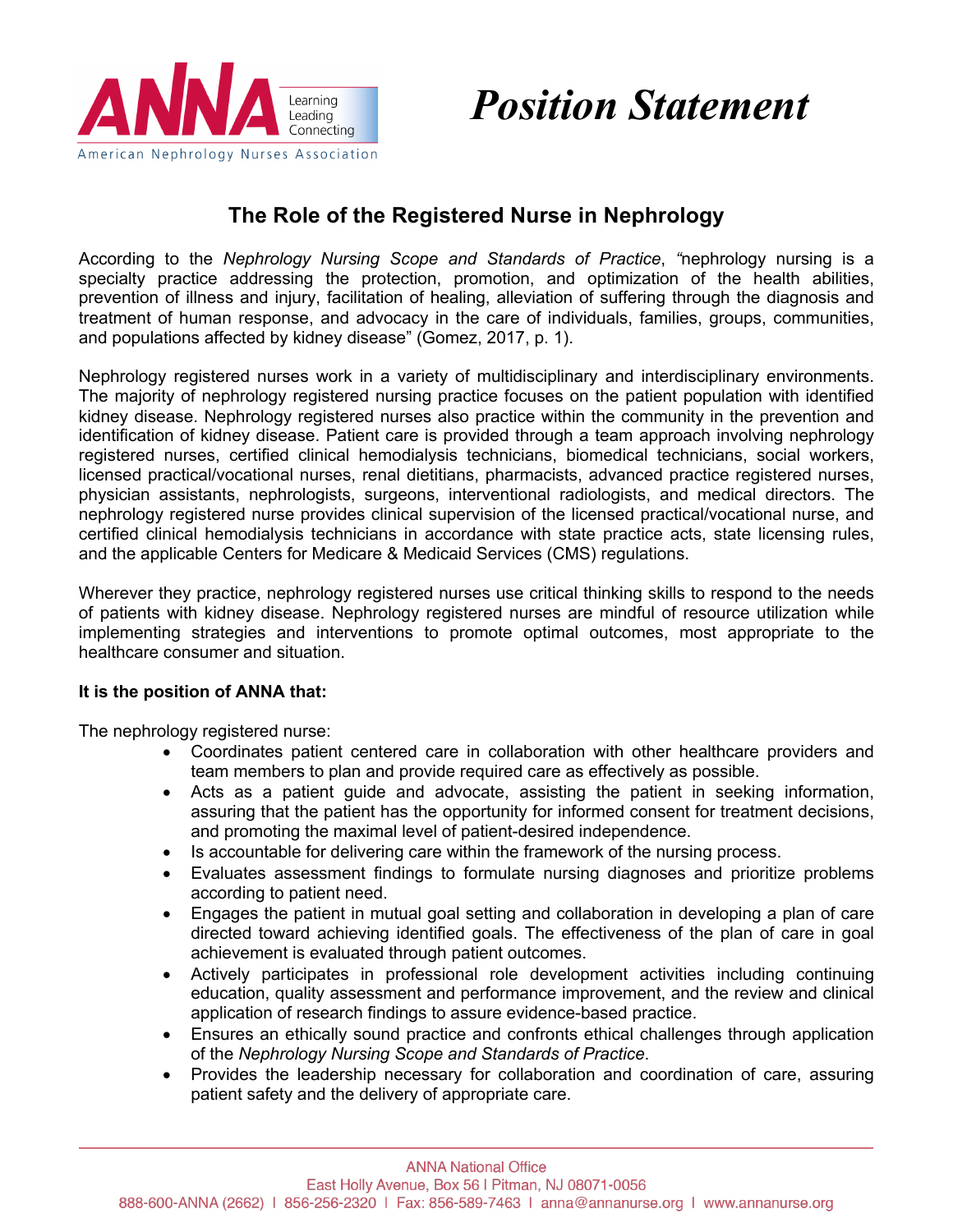

## *Position Statement*

## **The Role of the Registered Nurse in Nephrology**

According to the *Nephrology Nursing Scope and Standards of Practice*, *"*nephrology nursing is a specialty practice addressing the protection, promotion, and optimization of the health abilities, prevention of illness and injury, facilitation of healing, alleviation of suffering through the diagnosis and treatment of human response, and advocacy in the care of individuals, families, groups, communities, and populations affected by kidney disease" (Gomez, 2017, p. 1).

Nephrology registered nurses work in a variety of multidisciplinary and interdisciplinary environments. The majority of nephrology registered nursing practice focuses on the patient population with identified kidney disease. Nephrology registered nurses also practice within the community in the prevention and identification of kidney disease. Patient care is provided through a team approach involving nephrology registered nurses, certified clinical hemodialysis technicians, biomedical technicians, social workers, licensed practical/vocational nurses, renal dietitians, pharmacists, advanced practice registered nurses, physician assistants, nephrologists, surgeons, interventional radiologists, and medical directors. The nephrology registered nurse provides clinical supervision of the licensed practical/vocational nurse, and certified clinical hemodialysis technicians in accordance with state practice acts, state licensing rules, and the applicable Centers for Medicare & Medicaid Services (CMS) regulations.

Wherever they practice, nephrology registered nurses use critical thinking skills to respond to the needs of patients with kidney disease. Nephrology registered nurses are mindful of resource utilization while implementing strategies and interventions to promote optimal outcomes, most appropriate to the healthcare consumer and situation.

## **It is the position of ANNA that:**

The nephrology registered nurse:

- Coordinates patient centered care in collaboration with other healthcare providers and team members to plan and provide required care as effectively as possible.
- Acts as a patient guide and advocate, assisting the patient in seeking information, assuring that the patient has the opportunity for informed consent for treatment decisions, and promoting the maximal level of patient-desired independence.
- Is accountable for delivering care within the framework of the nursing process.
- Evaluates assessment findings to formulate nursing diagnoses and prioritize problems according to patient need.
- Engages the patient in mutual goal setting and collaboration in developing a plan of care directed toward achieving identified goals. The effectiveness of the plan of care in goal achievement is evaluated through patient outcomes.
- Actively participates in professional role development activities including continuing education, quality assessment and performance improvement, and the review and clinical application of research findings to assure evidence-based practice.
- Ensures an ethically sound practice and confronts ethical challenges through application of the *Nephrology Nursing Scope and Standards of Practice*.
- Provides the leadership necessary for collaboration and coordination of care, assuring patient safety and the delivery of appropriate care.